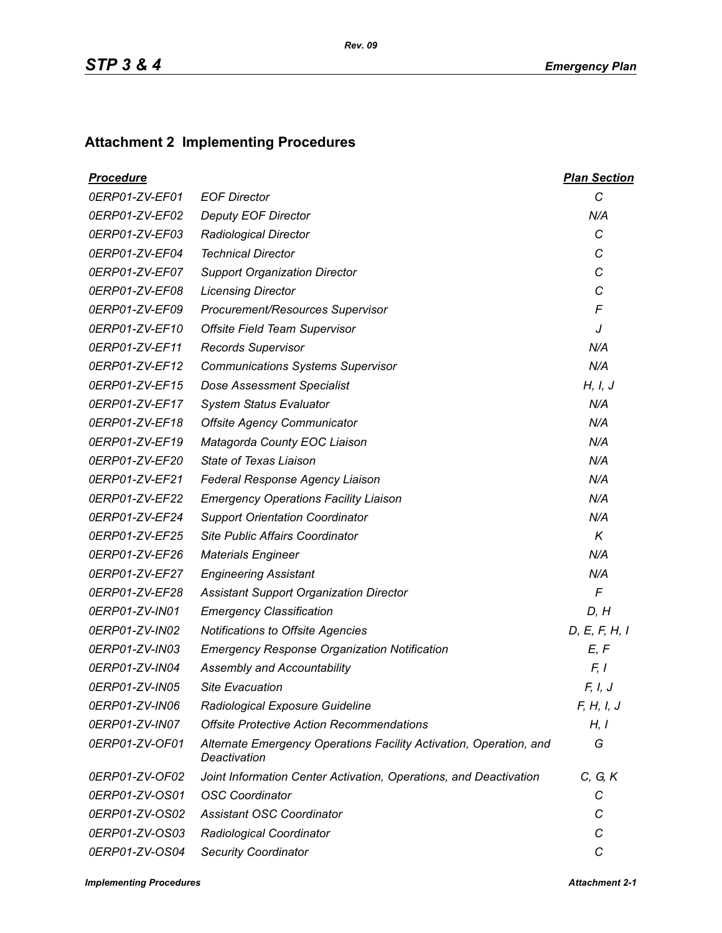## **Attachment 2 Implementing Procedures**

| <b>Procedure</b> |                                                                                    | <b>Plan Section</b> |
|------------------|------------------------------------------------------------------------------------|---------------------|
| 0ERP01-ZV-EF01   | <b>EOF Director</b>                                                                | C                   |
| 0ERP01-ZV-EF02   | <b>Deputy EOF Director</b>                                                         | N/A                 |
| 0ERP01-ZV-EF03   | <b>Radiological Director</b>                                                       | C                   |
| 0ERP01-ZV-EF04   | <b>Technical Director</b>                                                          | C                   |
| 0ERP01-ZV-EF07   | <b>Support Organization Director</b>                                               | C                   |
| 0ERP01-ZV-EF08   | <b>Licensing Director</b>                                                          | C                   |
| 0ERP01-ZV-EF09   | Procurement/Resources Supervisor                                                   | F                   |
| 0ERP01-ZV-EF10   | Offsite Field Team Supervisor                                                      | J                   |
| 0ERP01-ZV-EF11   | <b>Records Supervisor</b>                                                          | N/A                 |
| 0ERP01-ZV-EF12   | <b>Communications Systems Supervisor</b>                                           | N/A                 |
| 0ERP01-ZV-EF15   | <b>Dose Assessment Specialist</b>                                                  | H, I, J             |
| 0ERP01-ZV-EF17   | <b>System Status Evaluator</b>                                                     | N/A                 |
| 0ERP01-ZV-EF18   | <b>Offsite Agency Communicator</b>                                                 | N/A                 |
| 0ERP01-ZV-EF19   | Matagorda County EOC Liaison                                                       | N/A                 |
| 0ERP01-ZV-EF20   | <b>State of Texas Liaison</b>                                                      | N/A                 |
| 0ERP01-ZV-EF21   | Federal Response Agency Liaison                                                    | N/A                 |
| 0ERP01-ZV-EF22   | <b>Emergency Operations Facility Liaison</b>                                       | N/A                 |
| 0ERP01-ZV-EF24   | <b>Support Orientation Coordinator</b>                                             | N/A                 |
| 0ERP01-ZV-EF25   | Site Public Affairs Coordinator                                                    | $\kappa$            |
| 0ERP01-ZV-EF26   | <b>Materials Engineer</b>                                                          | N/A                 |
| 0ERP01-ZV-EF27   | <b>Engineering Assistant</b>                                                       | N/A                 |
| 0ERP01-ZV-EF28   | <b>Assistant Support Organization Director</b>                                     | $\sqrt{2}$          |
| 0ERP01-ZV-IN01   | <b>Emergency Classification</b>                                                    | D, H                |
| 0ERP01-ZV-IN02   | <b>Notifications to Offsite Agencies</b>                                           | D, E, F, H, I       |
| 0ERP01-ZV-IN03   | <b>Emergency Response Organization Notification</b>                                | E, F                |
| 0ERP01-ZV-IN04   | Assembly and Accountability                                                        | F, I                |
| 0ERP01-ZV-IN05   | <b>Site Evacuation</b>                                                             | F, I, J             |
| 0ERP01-ZV-IN06   | Radiological Exposure Guideline                                                    | F, H, I, J          |
| 0ERP01-ZV-IN07   | <b>Offsite Protective Action Recommendations</b>                                   | H, I                |
| 0ERP01-ZV-OF01   | Alternate Emergency Operations Facility Activation, Operation, and<br>Deactivation | G                   |
| 0ERP01-ZV-OF02   | Joint Information Center Activation, Operations, and Deactivation                  | C, G, K             |
| 0ERP01-ZV-OS01   | <b>OSC Coordinator</b>                                                             | С                   |
| 0ERP01-ZV-OS02   | <b>Assistant OSC Coordinator</b>                                                   | С                   |
| 0ERP01-ZV-OS03   | Radiological Coordinator                                                           | C                   |
| 0ERP01-ZV-OS04   | <b>Security Coordinator</b>                                                        | C                   |